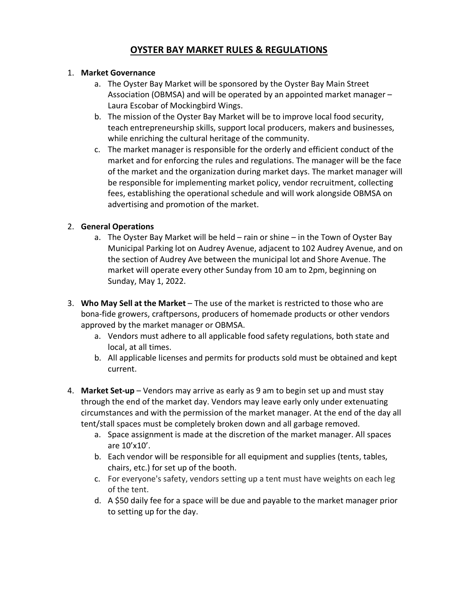# **OYSTER BAY MARKET RULES & REGULATIONS**

### 1. **Market Governance**

- a. The Oyster Bay Market will be sponsored by the Oyster Bay Main Street Association (OBMSA) and will be operated by an appointed market manager – Laura Escobar of Mockingbird Wings.
- b. The mission of the Oyster Bay Market will be to improve local food security, teach entrepreneurship skills, support local producers, makers and businesses, while enriching the cultural heritage of the community.
- c. The market manager is responsible for the orderly and efficient conduct of the market and for enforcing the rules and regulations. The manager will be the face of the market and the organization during market days. The market manager will be responsible for implementing market policy, vendor recruitment, collecting fees, establishing the operational schedule and will work alongside OBMSA on advertising and promotion of the market.

## 2. **General Operations**

- a. The Oyster Bay Market will be held rain or shine in the Town of Oyster Bay Municipal Parking lot on Audrey Avenue, adjacent to 102 Audrey Avenue, and on the section of Audrey Ave between the municipal lot and Shore Avenue. The market will operate every other Sunday from 10 am to 2pm, beginning on Sunday, May 1, 2022.
- 3. **Who May Sell at the Market** The use of the market is restricted to those who are bona-fide growers, craftpersons, producers of homemade products or other vendors approved by the market manager or OBMSA.
	- a. Vendors must adhere to all applicable food safety regulations, both state and local, at all times.
	- b. All applicable licenses and permits for products sold must be obtained and kept current.
- 4. **Market Set-up** Vendors may arrive as early as 9 am to begin set up and must stay through the end of the market day. Vendors may leave early only under extenuating circumstances and with the permission of the market manager. At the end of the day all tent/stall spaces must be completely broken down and all garbage removed.
	- a. Space assignment is made at the discretion of the market manager. All spaces are 10'x10'.
	- b. Each vendor will be responsible for all equipment and supplies (tents, tables, chairs, etc.) for set up of the booth.
	- c. For everyone's safety, vendors setting up a tent must have weights on each leg of the tent.
	- d. A \$50 daily fee for a space will be due and payable to the market manager prior to setting up for the day.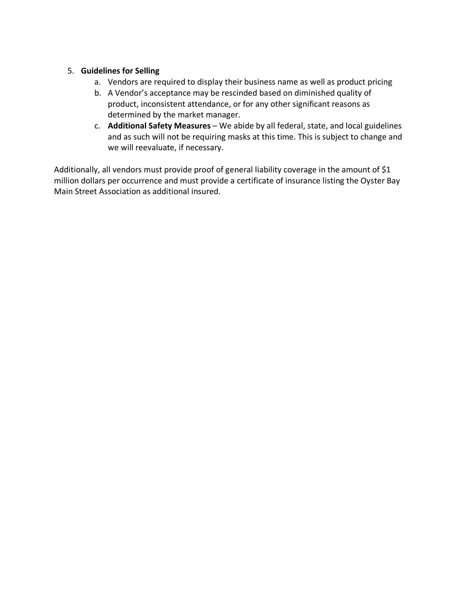### 5. **Guidelines for Selling**

- a. Vendors are required to display their business name as well as product pricing
- b. A Vendor's acceptance may be rescinded based on diminished quality of product, inconsistent attendance, or for any other significant reasons as determined by the market manager.
- c. **Additional Safety Measures** We abide by all federal, state, and local guidelines and as such will not be requiring masks at this time. This is subject to change and we will reevaluate, if necessary.

Additionally, all vendors must provide proof of general liability coverage in the amount of \$1 million dollars per occurrence and must provide a certificate of insurance listing the Oyster Bay Main Street Association as additional insured.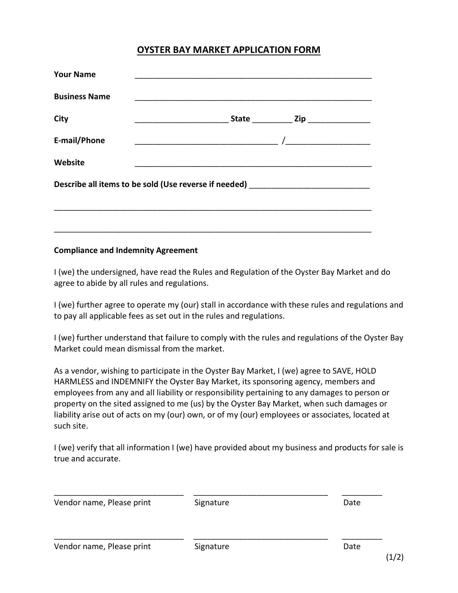# **OYSTER BAY MARKET APPLICATION FORM**

| Describe all items to be sold (Use reverse if needed) __________________________ |
|----------------------------------------------------------------------------------|
|                                                                                  |
|                                                                                  |
|                                                                                  |

#### **Compliance and Indemnity Agreement**

I (we) the undersigned, have read the Rules and Regulation of the Oyster Bay Market and do agree to abide by all rules and regulations.

I (we) further agree to operate my (our) stall in accordance with these rules and regulations and to pay all applicable fees as set out in the rules and regulations.

I (we) further understand that failure to comply with the rules and regulations of the Oyster Bay Market could mean dismissal from the market.

As a vendor, wishing to participate in the Oyster Bay Market, I (we) agree to SAVE, HOLD HARMLESS and INDEMNIFY the Oyster Bay Market, its sponsoring agency, members and employees from any and all liability or responsibility pertaining to any damages to person or property on the sited assigned to me (us) by the Oyster Bay Market, when such damages or liability arise out of acts on my (our) own, or of my (our) employees or associates, located at such site.

I (we) verify that all information I (we) have provided about my business and products for sale is true and accurate.

| Vendor name, Please print | Signature | Date |
|---------------------------|-----------|------|
| Vendor name, Please print | Signature | Date |

 $(1/2)$